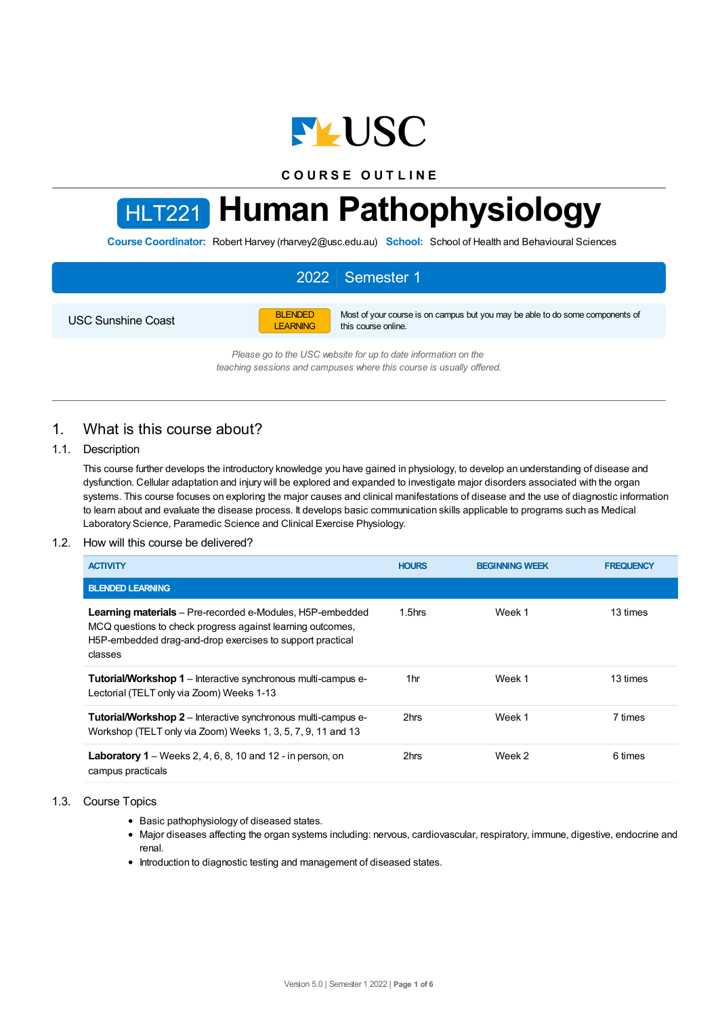

**C O U R S E O U T L I N E**

# HLT221 **Human Pathophysiology**

**Course Coordinator:** Robert Harvey (rharvey2@usc.edu.au) **School:** School of Health and Behavioural Sciences

# 2022 Semester 1

USC Sunshine Coast

BLENDED LEARNING Most of your course is on campus but you may be able to do some components of this course online.

*Please go to the USC website for up to date information on the teaching sessions and campuses where this course is usually offered.*

# 1. What is this course about?

#### 1.1. Description

This course further develops the introductory knowledge you have gained in physiology, to develop an understanding of disease and dysfunction. Cellular adaptation and injury will be explored and expanded to investigate major disorders associated with the organ systems. This course focuses on exploring the major causes and clinical manifestations of disease and the use of diagnostic information to learn about and evaluate the disease process. It develops basic communication skills applicable to programs such as Medical Laboratory Science, Paramedic Science and Clinical Exercise Physiology.

#### 1.2. How will this course be delivered?

| <b>ACTIVITY</b>                                                                                                                                                                                        | <b>HOURS</b> | <b>BEGINNING WEEK</b> | <b>FREQUENCY</b> |
|--------------------------------------------------------------------------------------------------------------------------------------------------------------------------------------------------------|--------------|-----------------------|------------------|
| <b>BLENDED LEARNING</b>                                                                                                                                                                                |              |                       |                  |
| <b>Learning materials</b> – Pre-recorded e-Modules, H5P-embedded<br>MCQ questions to check progress against learning outcomes,<br>H5P-embedded drag-and-drop exercises to support practical<br>classes | 1.5hrs       | Week 1                | 13 times         |
| <b>Tutorial/Workshop 1</b> – Interactive synchronous multi-campus e-<br>Lectorial (TELT only via Zoom) Weeks 1-13                                                                                      | 1hr          | Week 1                | 13 times         |
| <b>Tutorial/Workshop 2</b> – Interactive synchronous multi-campus e-<br>Workshop (TELT only via Zoom) Weeks 1, 3, 5, 7, 9, 11 and 13                                                                   | 2hrs         | Week 1                | 7 times          |
| <b>Laboratory 1</b> – Weeks 2, 4, 6, 8, 10 and 12 - in person, on<br>campus practicals                                                                                                                 | 2hrs         | Week 2                | 6 times          |

#### 1.3. Course Topics

- Basic pathophysiology of diseased states.
- Major diseases affecting the organ systems including: nervous, cardiovascular, respiratory, immune, digestive, endocrine and renal.
- Introduction to diagnostic testing and management of diseased states.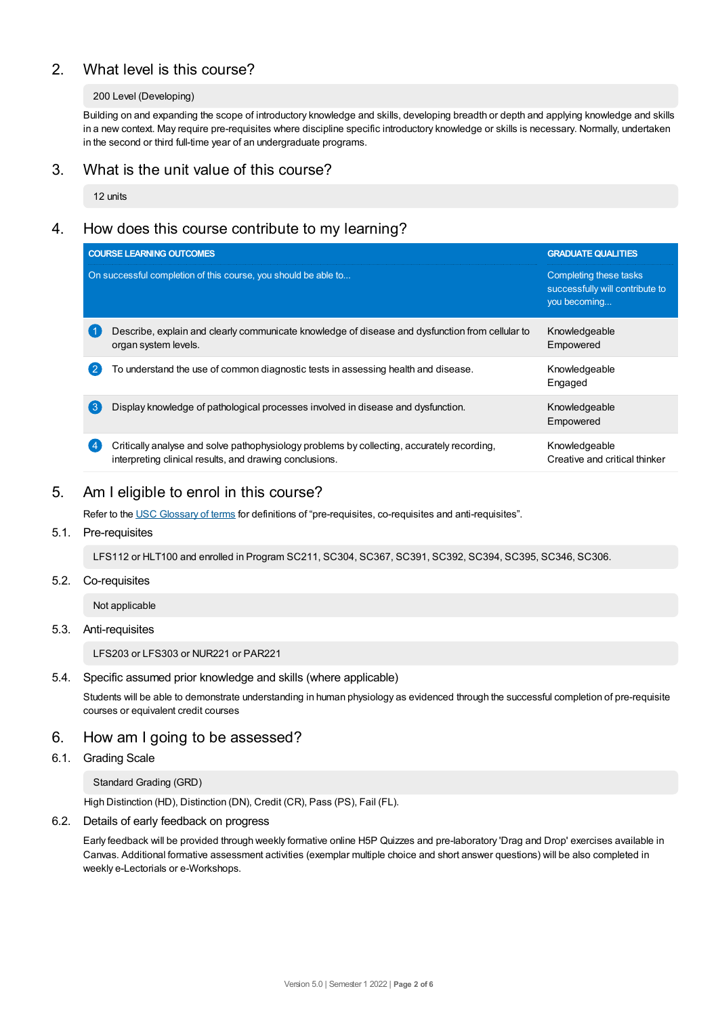# 2. What level is this course?

#### 200 Level (Developing)

Building on and expanding the scope of introductory knowledge and skills, developing breadth or depth and applying knowledge and skills in a new context. May require pre-requisites where discipline specific introductory knowledge or skills is necessary. Normally, undertaken in the second or third full-time year of an undergraduate programs.

# 3. What is the unit value of this course?

12 units

# 4. How does this course contribute to my learning?

|    | <b>COURSE LEARNING OUTCOMES</b>                                                                                                                       | <b>GRADUATE QUALITIES</b>                                                 |
|----|-------------------------------------------------------------------------------------------------------------------------------------------------------|---------------------------------------------------------------------------|
|    | On successful completion of this course, you should be able to                                                                                        | Completing these tasks<br>successfully will contribute to<br>you becoming |
|    | Describe, explain and clearly communicate knowledge of disease and dysfunction from cellular to<br>organ system levels.                               | Knowledgeable<br>Empowered                                                |
| 2  | To understand the use of common diagnostic tests in assessing health and disease.                                                                     | Knowledgeable<br>Engaged                                                  |
| (ვ | Display knowledge of pathological processes involved in disease and dysfunction.                                                                      | Knowledgeable<br>Empowered                                                |
|    | Critically analyse and solve pathophysiology problems by collecting, accurately recording,<br>interpreting clinical results, and drawing conclusions. | Knowledgeable<br>Creative and critical thinker                            |

# 5. Am Ieligible to enrol in this course?

Refer to the USC [Glossary](https://www.usc.edu.au/about/policies-and-procedures/glossary-of-terms-for-policy-and-procedures) of terms for definitions of "pre-requisites, co-requisites and anti-requisites".

#### 5.1. Pre-requisites

LFS112 or HLT100 and enrolled in Program SC211, SC304, SC367, SC391, SC392, SC394, SC395, SC346, SC306.

#### 5.2. Co-requisites

Not applicable

#### 5.3. Anti-requisites

LFS203 or LFS303 or NUR221 or PAR221

#### 5.4. Specific assumed prior knowledge and skills (where applicable)

Students will be able to demonstrate understanding in human physiology as evidenced through the successful completion of pre-requisite courses or equivalent credit courses

# 6. How am Igoing to be assessed?

## 6.1. Grading Scale

Standard Grading (GRD)

High Distinction (HD), Distinction (DN), Credit (CR), Pass (PS), Fail (FL).

#### 6.2. Details of early feedback on progress

Early feedback will be provided through weekly formative online H5P Quizzes and pre-laboratory 'Drag and Drop' exercises available in Canvas. Additional formative assessment activities (exemplar multiple choice and short answer questions) will be also completed in weekly e-Lectorials or e-Workshops.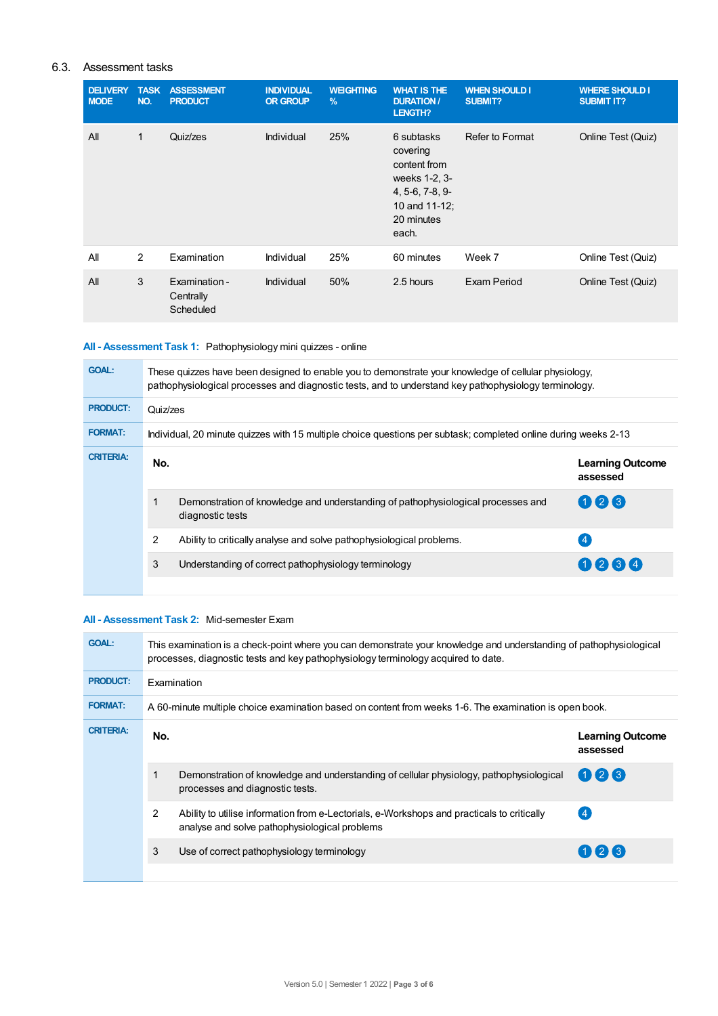### 6.3. Assessment tasks

| <b>DELIVERY</b><br><b>MODE</b> | <b>TASK</b><br>NO. | <b>ASSESSMENT</b><br><b>PRODUCT</b>     | <b>INDIVIDUAL</b><br><b>OR GROUP</b> | <b>WEIGHTING</b><br>$\%$ | <b>WHAT IS THE</b><br><b>DURATION /</b><br>LENGTH?                                                                   | <b>WHEN SHOULD I</b><br><b>SUBMIT?</b> | <b>WHERE SHOULD I</b><br><b>SUBMIT IT?</b> |
|--------------------------------|--------------------|-----------------------------------------|--------------------------------------|--------------------------|----------------------------------------------------------------------------------------------------------------------|----------------------------------------|--------------------------------------------|
| All                            | $\mathbf{1}$       | Quiz/zes                                | Individual                           | 25%                      | 6 subtasks<br>covering<br>content from<br>weeks 1-2, 3-<br>$4, 5-6, 7-8, 9-$<br>10 and 11-12;<br>20 minutes<br>each. | Refer to Format                        | Online Test (Quiz)                         |
| All                            | 2                  | Examination                             | Individual                           | 25%                      | 60 minutes                                                                                                           | Week 7                                 | Online Test (Quiz)                         |
| All                            | 3                  | Examination -<br>Centrally<br>Scheduled | Individual                           | 50%                      | 2.5 hours                                                                                                            | Exam Period                            | Online Test (Quiz)                         |

# **All - Assessment Task 1:** Pathophysiology mini quizzes - online

| <b>GOAL:</b>     | These quizzes have been designed to enable you to demonstrate your knowledge of cellular physiology.<br>pathophysiological processes and diagnostic tests, and to understand key pathophysiology terminology. |                                                                                                      |                                     |  |  |  |
|------------------|---------------------------------------------------------------------------------------------------------------------------------------------------------------------------------------------------------------|------------------------------------------------------------------------------------------------------|-------------------------------------|--|--|--|
| <b>PRODUCT:</b>  | Quiz/zes                                                                                                                                                                                                      |                                                                                                      |                                     |  |  |  |
| <b>FORMAT:</b>   | Individual, 20 minute quizzes with 15 multiple choice questions per subtask; completed online during weeks 2-13                                                                                               |                                                                                                      |                                     |  |  |  |
| <b>CRITERIA:</b> | No.                                                                                                                                                                                                           |                                                                                                      | <b>Learning Outcome</b><br>assessed |  |  |  |
|                  |                                                                                                                                                                                                               | Demonstration of knowledge and understanding of pathophysiological processes and<br>diagnostic tests | 023                                 |  |  |  |
|                  | 2                                                                                                                                                                                                             | Ability to critically analyse and solve pathophysiological problems.                                 | $\overline{4}$                      |  |  |  |
|                  | 3                                                                                                                                                                                                             | Understanding of correct pathophysiology terminology                                                 | 0234                                |  |  |  |
|                  |                                                                                                                                                                                                               |                                                                                                      |                                     |  |  |  |

#### **All - Assessment Task 2:** Mid-semester Exam

| <b>GOAL:</b>     | This examination is a check-point where you can demonstrate your knowledge and understanding of pathophysiological<br>processes, diagnostic tests and key pathophysiology terminology acquired to date. |                                                                                                                                             |                                     |  |  |  |
|------------------|---------------------------------------------------------------------------------------------------------------------------------------------------------------------------------------------------------|---------------------------------------------------------------------------------------------------------------------------------------------|-------------------------------------|--|--|--|
| <b>PRODUCT:</b>  | Examination                                                                                                                                                                                             |                                                                                                                                             |                                     |  |  |  |
| <b>FORMAT:</b>   | A 60-minute multiple choice examination based on content from weeks 1-6. The examination is open book.                                                                                                  |                                                                                                                                             |                                     |  |  |  |
| <b>CRITERIA:</b> | No.                                                                                                                                                                                                     |                                                                                                                                             | <b>Learning Outcome</b><br>assessed |  |  |  |
|                  |                                                                                                                                                                                                         | Demonstration of knowledge and understanding of cellular physiology, pathophysiological<br>processes and diagnostic tests.                  | 026                                 |  |  |  |
|                  | $\overline{2}$                                                                                                                                                                                          | Ability to utilise information from e-Lectorials, e-Workshops and practicals to critically<br>analyse and solve pathophysiological problems | $\overline{4}$                      |  |  |  |
|                  | 3                                                                                                                                                                                                       | Use of correct pathophysiology terminology                                                                                                  | 0 <sub>2</sub>                      |  |  |  |
|                  |                                                                                                                                                                                                         |                                                                                                                                             |                                     |  |  |  |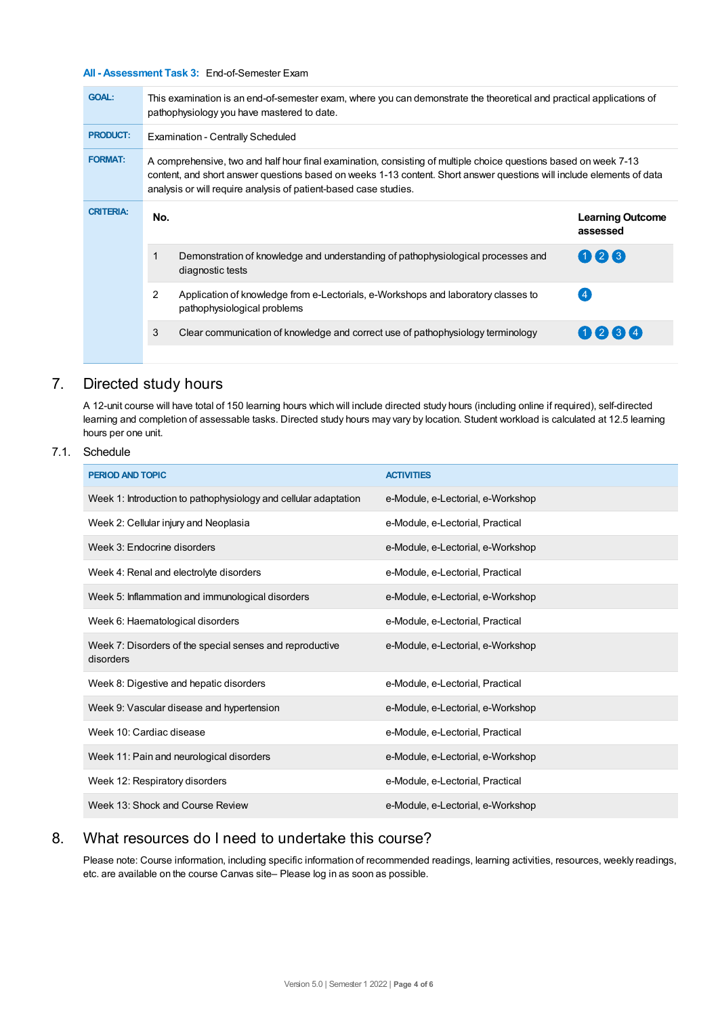#### **All - Assessment Task 3:** End-of-Semester Exam

| <b>GOAL:</b>     | This examination is an end-of-semester exam, where you can demonstrate the theoretical and practical applications of<br>pathophysiology you have mastered to date. |                                                                                                                                                                                                                                                                                                               |                |  |  |  |
|------------------|--------------------------------------------------------------------------------------------------------------------------------------------------------------------|---------------------------------------------------------------------------------------------------------------------------------------------------------------------------------------------------------------------------------------------------------------------------------------------------------------|----------------|--|--|--|
| <b>PRODUCT:</b>  | <b>Examination - Centrally Scheduled</b>                                                                                                                           |                                                                                                                                                                                                                                                                                                               |                |  |  |  |
| <b>FORMAT:</b>   |                                                                                                                                                                    | A comprehensive, two and half hour final examination, consisting of multiple choice questions based on week 7-13<br>content, and short answer questions based on weeks 1-13 content. Short answer questions will include elements of data<br>analysis or will require analysis of patient-based case studies. |                |  |  |  |
| <b>CRITERIA:</b> | No.                                                                                                                                                                | <b>Learning Outcome</b><br>assessed                                                                                                                                                                                                                                                                           |                |  |  |  |
|                  | 1                                                                                                                                                                  | Demonstration of knowledge and understanding of pathophysiological processes and<br>diagnostic tests                                                                                                                                                                                                          | 026            |  |  |  |
|                  | 2                                                                                                                                                                  | Application of knowledge from e-Lectorials, e-Workshops and laboratory classes to<br>pathophysiological problems                                                                                                                                                                                              | $\overline{4}$ |  |  |  |
|                  | 3                                                                                                                                                                  | Clear communication of knowledge and correct use of pathophysiology terminology                                                                                                                                                                                                                               | 0234           |  |  |  |
|                  |                                                                                                                                                                    |                                                                                                                                                                                                                                                                                                               |                |  |  |  |

# 7. Directed study hours

A 12-unit course will have total of 150 learning hours which will include directed study hours (including online if required), self-directed learning and completion of assessable tasks. Directed study hours may vary by location. Student workload is calculated at 12.5 learning hours per one unit.

## 7.1. Schedule

| PERIOD AND TOPIC                                                      | <b>ACTIVITIES</b>                 |
|-----------------------------------------------------------------------|-----------------------------------|
| Week 1: Introduction to pathophysiology and cellular adaptation       | e-Module, e-Lectorial, e-Workshop |
| Week 2: Cellular injury and Neoplasia                                 | e-Module, e-Lectorial, Practical  |
| Week 3: Endocrine disorders                                           | e-Module, e-Lectorial, e-Workshop |
| Week 4: Renal and electrolyte disorders                               | e-Module, e-Lectorial, Practical  |
| Week 5: Inflammation and immunological disorders                      | e-Module, e-Lectorial, e-Workshop |
| Week 6: Haematological disorders                                      | e-Module, e-Lectorial, Practical  |
| Week 7: Disorders of the special senses and reproductive<br>disorders | e-Module, e-Lectorial, e-Workshop |
| Week 8: Digestive and hepatic disorders                               | e-Module, e-Lectorial, Practical  |
| Week 9: Vascular disease and hypertension                             | e-Module, e-Lectorial, e-Workshop |
| Week 10: Cardiac disease                                              | e-Module, e-Lectorial, Practical  |
| Week 11: Pain and neurological disorders                              | e-Module, e-Lectorial, e-Workshop |
| Week 12: Respiratory disorders                                        | e-Module, e-Lectorial, Practical  |
| Week 13: Shock and Course Review                                      | e-Module, e-Lectorial, e-Workshop |

# 8. What resources do I need to undertake this course?

Please note: Course information, including specific information of recommended readings, learning activities, resources, weekly readings, etc. are available on the course Canvas site– Please log in as soon as possible.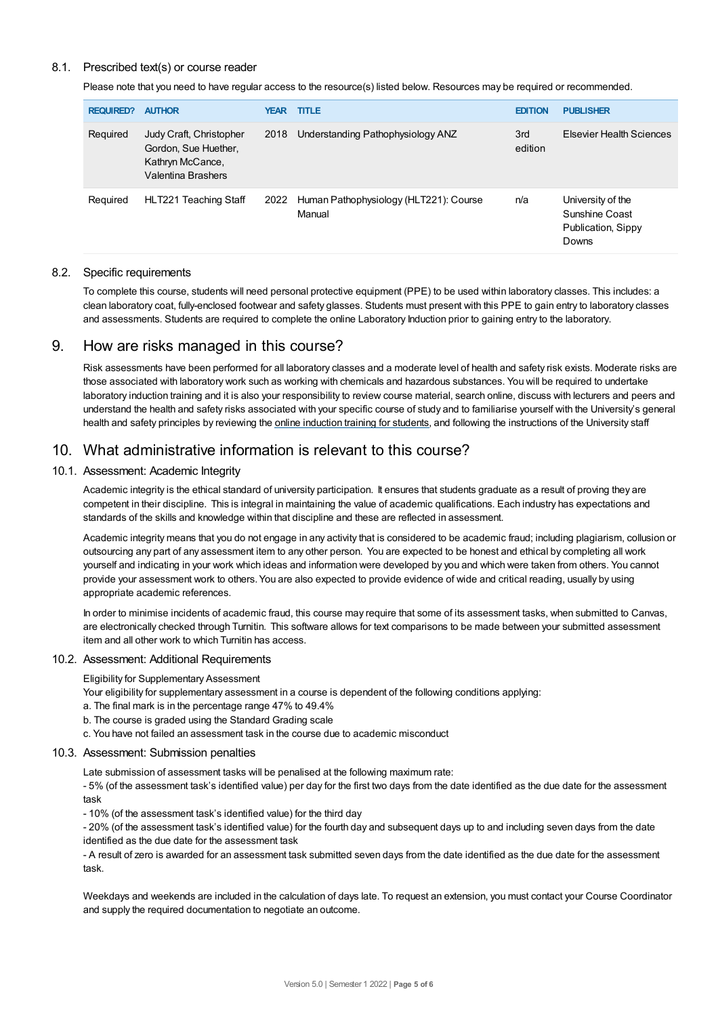#### 8.1. Prescribed text(s) or course reader

Please note that you need to have regular access to the resource(s) listed below. Resources may be required or recommended.

| <b>REQUIRED?</b> | <b>AUTHOR</b>                                                                             | <b>YEAR</b> | <b>TITLE</b>                                     | <b>EDITION</b> | <b>PUBLISHER</b>                                                   |
|------------------|-------------------------------------------------------------------------------------------|-------------|--------------------------------------------------|----------------|--------------------------------------------------------------------|
| Required         | Judy Craft, Christopher<br>Gordon, Sue Huether,<br>Kathryn McCance,<br>Valentina Brashers | 2018        | Understanding Pathophysiology ANZ                | 3rd<br>edition | <b>Elsevier Health Sciences</b>                                    |
| Required         | HLT221 Teaching Staff                                                                     | 2022        | Human Pathophysiology (HLT221): Course<br>Manual | n/a            | University of the<br>Sunshine Coast<br>Publication, Sippy<br>Downs |

#### 8.2. Specific requirements

To complete this course, students will need personal protective equipment (PPE) to be used within laboratory classes. This includes: a clean laboratory coat, fully-enclosed footwear and safety glasses. Students must present with this PPE to gain entry to laboratory classes and assessments. Students are required to complete the online Laboratory Induction prior to gaining entry to the laboratory.

## 9. How are risks managed in this course?

Risk assessments have been performed for all laboratory classes and a moderate level of health and safety risk exists. Moderate risks are those associated with laboratory work such as working with chemicals and hazardous substances. You will be required to undertake laboratory induction training and it is also your responsibility to review course material, search online, discuss with lecturers and peers and understand the health and safety risks associated with your specific course of study and to familiarise yourself with the University's general health and safety principles by reviewing the online [induction](https://online.usc.edu.au/webapps/blackboard/content/listContentEditable.jsp?content_id=_632657_1&course_id=_14432_1) training for students, and following the instructions of the University staff

## 10. What administrative information is relevant to this course?

#### 10.1. Assessment: Academic Integrity

Academic integrity is the ethical standard of university participation. It ensures that students graduate as a result of proving they are competent in their discipline. This is integral in maintaining the value of academic qualifications. Each industry has expectations and standards of the skills and knowledge within that discipline and these are reflected in assessment.

Academic integrity means that you do not engage in any activity that is considered to be academic fraud; including plagiarism, collusion or outsourcing any part of any assessment item to any other person. You are expected to be honest and ethical by completing all work yourself and indicating in your work which ideas and information were developed by you and which were taken from others. You cannot provide your assessment work to others.You are also expected to provide evidence of wide and critical reading, usually by using appropriate academic references.

In order to minimise incidents of academic fraud, this course may require that some of its assessment tasks, when submitted to Canvas, are electronically checked through Turnitin. This software allows for text comparisons to be made between your submitted assessment item and all other work to which Turnitin has access.

#### 10.2. Assessment: Additional Requirements

Eligibility for Supplementary Assessment

Your eligibility for supplementary assessment in a course is dependent of the following conditions applying:

- a. The final mark is in the percentage range 47% to 49.4%
- b. The course is graded using the Standard Grading scale
- c. You have not failed an assessment task in the course due to academic misconduct

#### 10.3. Assessment: Submission penalties

Late submission of assessment tasks will be penalised at the following maximum rate:

- 5% (of the assessment task's identified value) per day for the first two days from the date identified as the due date for the assessment task

- 10% (of the assessment task's identified value) for the third day

- 20% (of the assessment task's identified value) for the fourth day and subsequent days up to and including seven days from the date identified as the due date for the assessment task

- A result of zero is awarded for an assessment task submitted seven days from the date identified as the due date for the assessment task.

Weekdays and weekends are included in the calculation of days late. To request an extension, you must contact your Course Coordinator and supply the required documentation to negotiate an outcome.